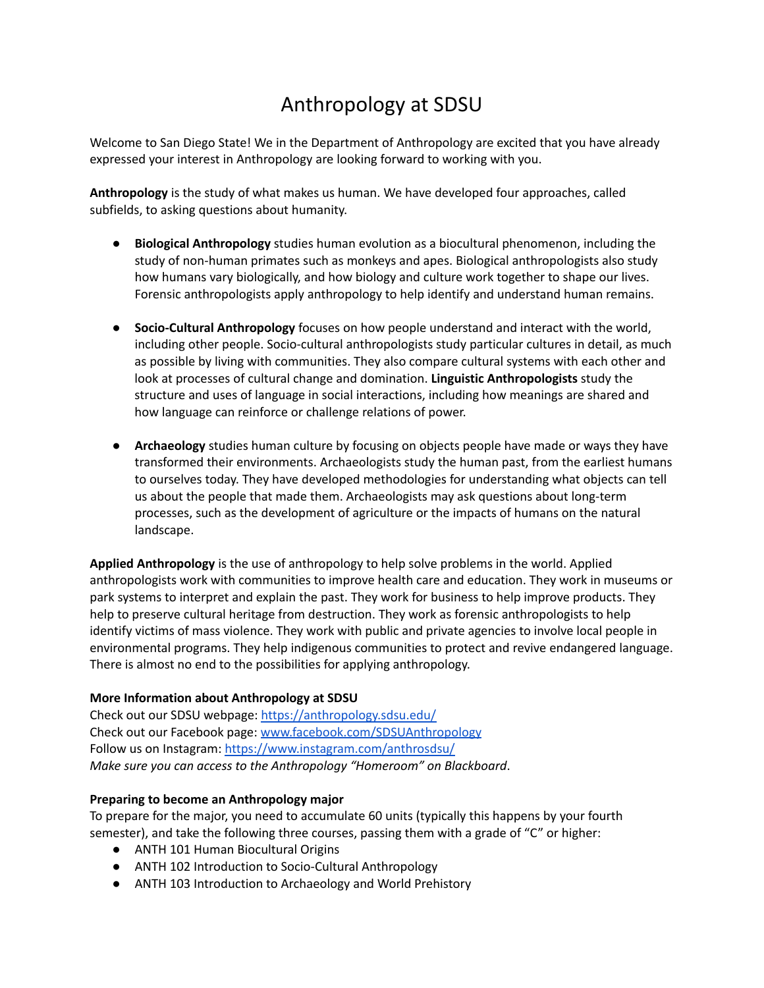# Anthropology at SDSU

 Welcome to San Diego State! We in the Department of Anthropology are excited that you have already expressed your interest in Anthropology are looking forward to working with you.

 **Anthropology** is the study of what makes us human. We have developed four approaches, called subfields, to asking questions about humanity.

- ● **Biological Anthropology** studies human evolution as a biocultural phenomenon, including the study of non-human primates such as monkeys and apes. Biological anthropologists also study how humans vary biologically, and how biology and culture work together to shape our lives. Forensic anthropologists apply anthropology to help identify and understand human remains.
- ● **Socio-Cultural Anthropology** focuses on how people understand and interact with the world, including other people. Socio-cultural anthropologists study particular cultures in detail, as much as possible by living with communities. They also compare cultural systems with each other and look at processes of cultural change and domination. **Linguistic Anthropologists** study the structure and uses of language in social interactions, including how meanings are shared and how language can reinforce or challenge relations of power.
- ● **Archaeology** studies human culture by focusing on objects people have made or ways they have transformed their environments. Archaeologists study the human past, from the earliest humans to ourselves today. They have developed methodologies for understanding what objects can tell us about the people that made them. Archaeologists may ask questions about long-term processes, such as the development of agriculture or the impacts of humans on the natural landscape.

 **Applied Anthropology** is the use of anthropology to help solve problems in the world. Applied anthropologists work with communities to improve health care and education. They work in museums or park systems to interpret and explain the past. They work for business to help improve products. They help to preserve cultural heritage from destruction. They work as forensic anthropologists to help identify victims of mass violence. They work with public and private agencies to involve local people in environmental programs. They help indigenous communities to protect and revive endangered language. There is almost no end to the possibilities for applying anthropology.

# **More Information about Anthropology at SDSU**

Check out our SDSU webpage: <https://anthropology.sdsu.edu/> Check out our Facebook page: [www.facebook.com/SDSUAnthropology](http://www.facebook.com/SDSUAnthropology) Follow us on Instagram: <https://www.instagram.com/anthrosdsu/>  *Make sure you can access to the Anthropology "Homeroom" on Blackboard*.

# **Preparing to become an Anthropology major**

 To prepare for the major, you need to accumulate 60 units (typically this happens by your fourth semester), and take the following three courses, passing them with a grade of "C" or higher:

- ANTH 101 Human Biocultural Origins
- ANTH 102 Introduction to Socio-Cultural Anthropology
- ANTH 103 Introduction to Archaeology and World Prehistory